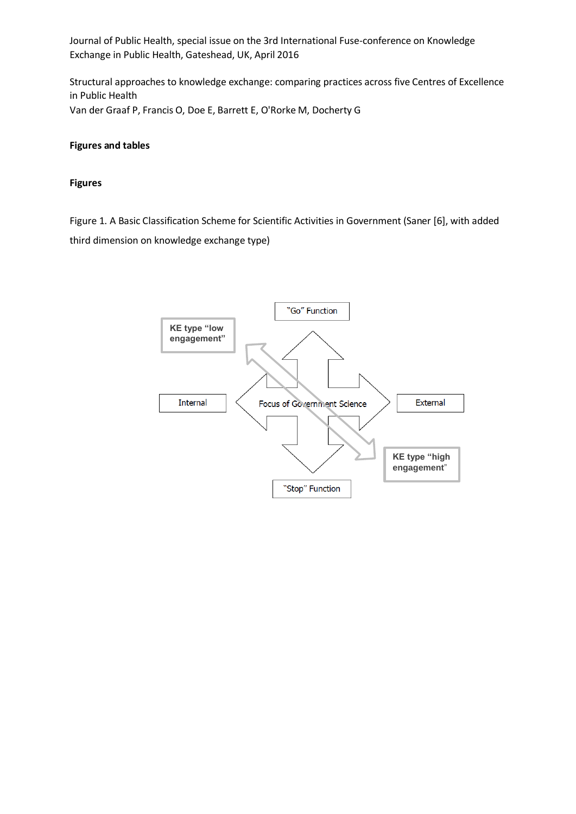Structural approaches to knowledge exchange: comparing practices across five Centres of Excellence in Public Health Van der Graaf P, Francis O, Doe E, Barrett E, O'Rorke M, Docherty G

### **Figures and tables**

#### **Figures**

Figure 1. A Basic Classification Scheme for Scientific Activities in Government (Saner [6], with added third dimension on knowledge exchange type)

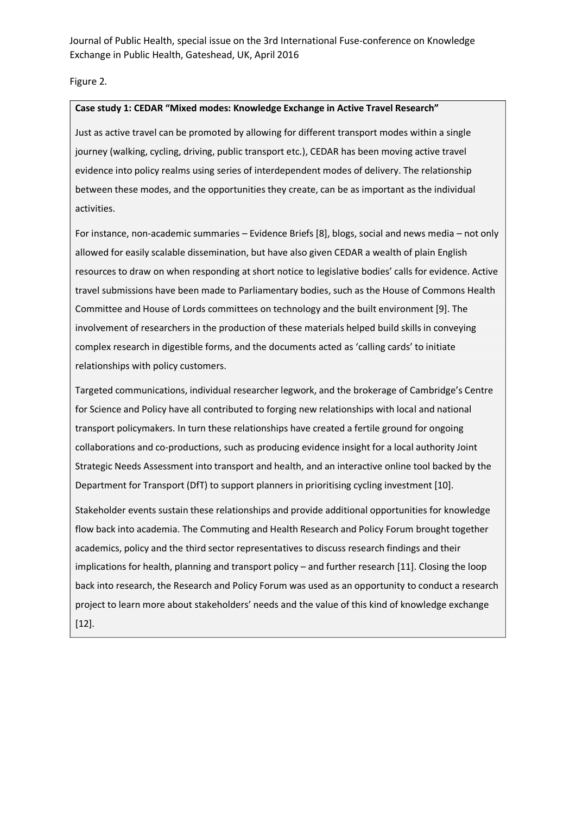Figure 2.

#### **Case study 1: CEDAR "Mixed modes: Knowledge Exchange in Active Travel Research"**

Just as active travel can be promoted by allowing for different transport modes within a single journey (walking, cycling, driving, public transport etc.), CEDAR has been moving active travel evidence into policy realms using series of interdependent modes of delivery. The relationship between these modes, and the opportunities they create, can be as important as the individual activities.

For instance, non-academic summaries – Evidence Briefs [8], blogs, social and news media – not only allowed for easily scalable dissemination, but have also given CEDAR a wealth of plain English resources to draw on when responding at short notice to legislative bodies' calls for evidence. Active travel submissions have been made to Parliamentary bodies, such as the House of Commons Health Committee and House of Lords committees on technology and the built environment [9]. The involvement of researchers in the production of these materials helped build skills in conveying complex research in digestible forms, and the documents acted as 'calling cards' to initiate relationships with policy customers.

Targeted communications, individual researcher legwork, and the brokerage of Cambridge's Centre for Science and Policy have all contributed to forging new relationships with local and national transport policymakers. In turn these relationships have created a fertile ground for ongoing collaborations and co-productions, such as producing evidence insight for a local authority Joint Strategic Needs Assessment into transport and health, and an interactive online tool backed by the Department for Transport (DfT) to support planners in prioritising cycling investment [10].

Stakeholder events sustain these relationships and provide additional opportunities for knowledge flow back into academia. The Commuting and Health Research and Policy Forum brought together academics, policy and the third sector representatives to discuss research findings and their implications for health, planning and transport policy – and further research [11]. Closing the loop back into research, the Research and Policy Forum was used as an opportunity to conduct a research project to learn more about stakeholders' needs and the value of this kind of knowledge exchange [12].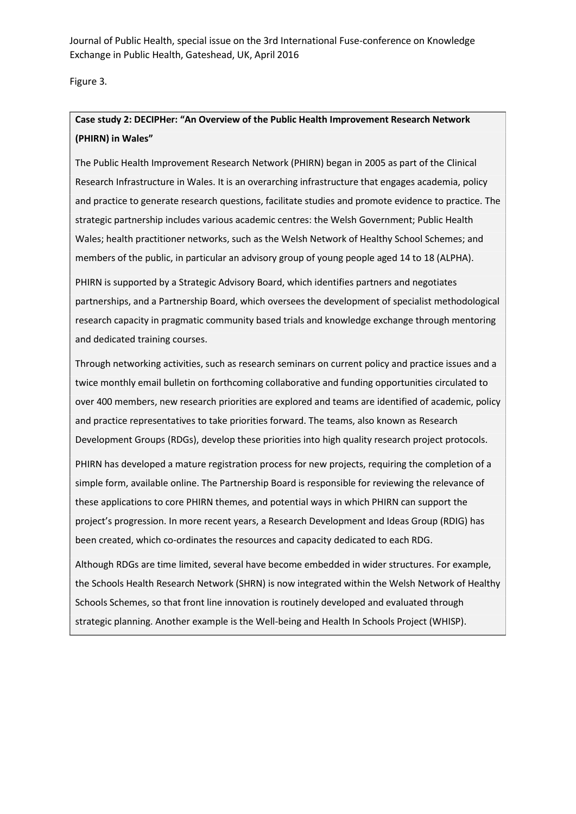Figure 3.

# **Case study 2: DECIPHer: "An Overview of the Public Health Improvement Research Network (PHIRN) in Wales"**

The Public Health Improvement Research Network (PHIRN) began in 2005 as part of the Clinical Research Infrastructure in Wales. It is an overarching infrastructure that engages academia, policy and practice to generate research questions, facilitate studies and promote evidence to practice. The strategic partnership includes various academic centres: the Welsh Government; Public Health Wales; health practitioner networks, such as the Welsh Network of Healthy School Schemes; and members of the public, in particular an advisory group of young people aged 14 to 18 (ALPHA).

PHIRN is supported by a Strategic Advisory Board, which identifies partners and negotiates partnerships, and a Partnership Board, which oversees the development of specialist methodological research capacity in pragmatic community based trials and knowledge exchange through mentoring and dedicated training courses.

Through networking activities, such as research seminars on current policy and practice issues and a twice monthly email bulletin on forthcoming collaborative and funding opportunities circulated to over 400 members, new research priorities are explored and teams are identified of academic, policy and practice representatives to take priorities forward. The teams, also known as Research Development Groups (RDGs), develop these priorities into high quality research project protocols.

PHIRN has developed a mature registration process for new projects, requiring the completion of a simple form, available online. The Partnership Board is responsible for reviewing the relevance of these applications to core PHIRN themes, and potential ways in which PHIRN can support the project's progression. In more recent years, a Research Development and Ideas Group (RDIG) has been created, which co-ordinates the resources and capacity dedicated to each RDG.

Although RDGs are time limited, several have become embedded in wider structures. For example, the Schools Health Research Network (SHRN) is now integrated within the Welsh Network of Healthy Schools Schemes, so that front line innovation is routinely developed and evaluated through strategic planning. Another example is the Well-being and Health In Schools Project (WHISP).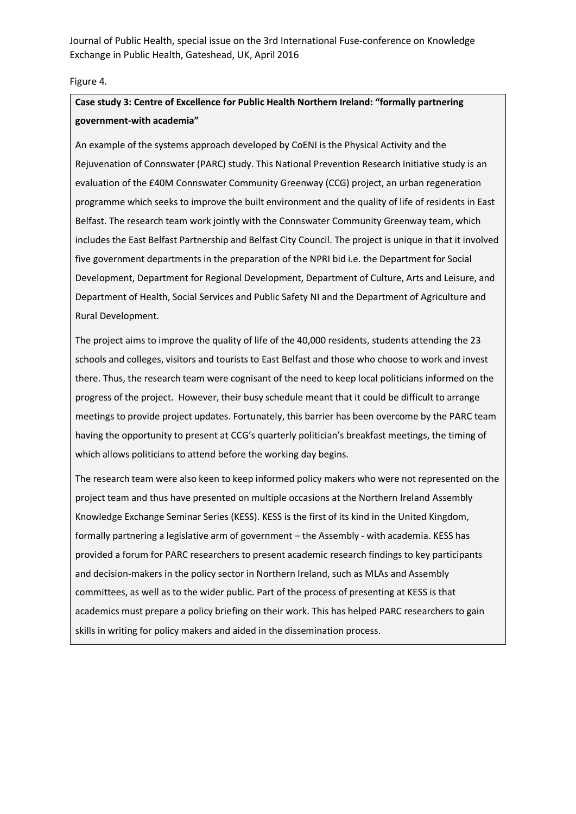#### Figure 4.

## **Case study 3: Centre of Excellence for Public Health Northern Ireland: "formally partnering government-with academia"**

An example of the systems approach developed by CoENI is the Physical Activity and the Rejuvenation of Connswater (PARC) study. This National Prevention Research Initiative study is an evaluation of the £40M Connswater Community Greenway (CCG) project, an urban regeneration programme which seeks to improve the built environment and the quality of life of residents in East Belfast. The research team work jointly with the Connswater Community Greenway team, which includes the East Belfast Partnership and Belfast City Council. The project is unique in that it involved five government departments in the preparation of the NPRI bid i.e. the Department for Social Development, Department for Regional Development, Department of Culture, Arts and Leisure, and Department of Health, Social Services and Public Safety NI and the Department of Agriculture and Rural Development.

The project aims to improve the quality of life of the 40,000 residents, students attending the 23 schools and colleges, visitors and tourists to East Belfast and those who choose to work and invest there. Thus, the research team were cognisant of the need to keep local politicians informed on the progress of the project. However, their busy schedule meant that it could be difficult to arrange meetings to provide project updates. Fortunately, this barrier has been overcome by the PARC team having the opportunity to present at CCG's quarterly politician's breakfast meetings, the timing of which allows politicians to attend before the working day begins.

The research team were also keen to keep informed policy makers who were not represented on the project team and thus have presented on multiple occasions at the Northern Ireland Assembly Knowledge Exchange Seminar Series (KESS). KESS is the first of its kind in the United Kingdom, formally partnering a legislative arm of government – the Assembly - with academia. KESS has provided a forum for PARC researchers to present academic research findings to key participants and decision-makers in the policy sector in Northern Ireland, such as MLAs and Assembly committees, as well as to the wider public. Part of the process of presenting at KESS is that academics must prepare a policy briefing on their work. This has helped PARC researchers to gain skills in writing for policy makers and aided in the dissemination process.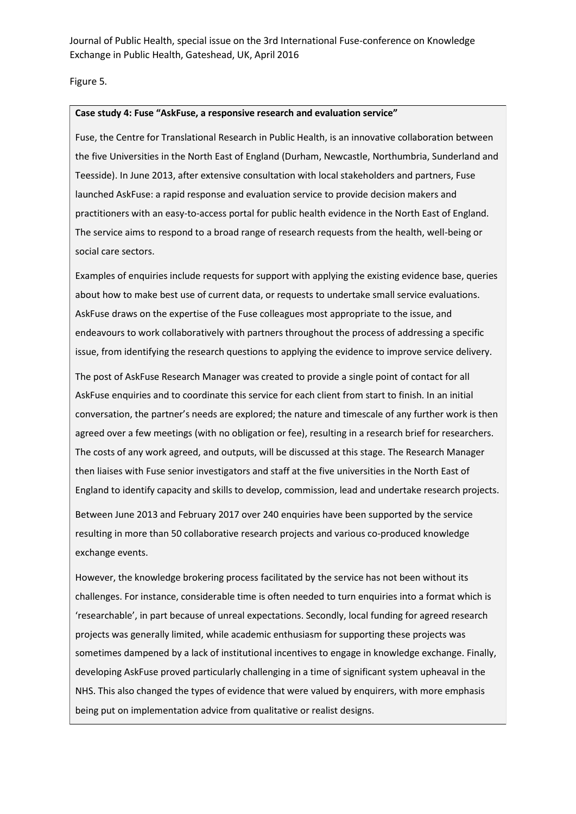Figure 5.

#### **Case study 4: Fuse "AskFuse, a responsive research and evaluation service"**

Fuse, the Centre for Translational Research in Public Health, is an innovative collaboration between the five Universities in the North East of England (Durham, Newcastle, Northumbria, Sunderland and Teesside). In June 2013, after extensive consultation with local stakeholders and partners, Fuse launched AskFuse: a rapid response and evaluation service to provide decision makers and practitioners with an easy-to-access portal for public health evidence in the North East of England. The service aims to respond to a broad range of research requests from the health, well-being or social care sectors.

Examples of enquiries include requests for support with applying the existing evidence base, queries about how to make best use of current data, or requests to undertake small service evaluations. AskFuse draws on the expertise of the Fuse colleagues most appropriate to the issue, and endeavours to work collaboratively with partners throughout the process of addressing a specific issue, from identifying the research questions to applying the evidence to improve service delivery.

The post of AskFuse Research Manager was created to provide a single point of contact for all AskFuse enquiries and to coordinate this service for each client from start to finish. In an initial conversation, the partner's needs are explored; the nature and timescale of any further work is then agreed over a few meetings (with no obligation or fee), resulting in a research brief for researchers. The costs of any work agreed, and outputs, will be discussed at this stage. The Research Manager then liaises with Fuse senior investigators and staff at the five universities in the North East of England to identify capacity and skills to develop, commission, lead and undertake research projects.

Between June 2013 and February 2017 over 240 enquiries have been supported by the service resulting in more than 50 collaborative research projects and various co-produced knowledge exchange events.

However, the knowledge brokering process facilitated by the service has not been without its challenges. For instance, considerable time is often needed to turn enquiries into a format which is 'researchable', in part because of unreal expectations. Secondly, local funding for agreed research projects was generally limited, while academic enthusiasm for supporting these projects was sometimes dampened by a lack of institutional incentives to engage in knowledge exchange. Finally, developing AskFuse proved particularly challenging in a time of significant system upheaval in the NHS. This also changed the types of evidence that were valued by enquirers, with more emphasis being put on implementation advice from qualitative or realist designs.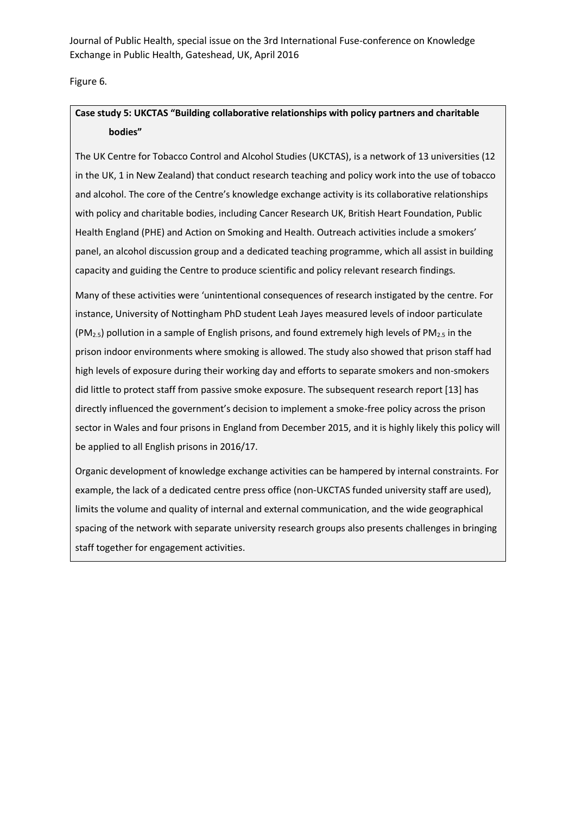Figure 6.

### **Case study 5: UKCTAS "Building collaborative relationships with policy partners and charitable bodies"**

The UK Centre for Tobacco Control and Alcohol Studies (UKCTAS), is a network of 13 universities (12 in the UK, 1 in New Zealand) that conduct research teaching and policy work into the use of tobacco and alcohol. The core of the Centre's knowledge exchange activity is its collaborative relationships with policy and charitable bodies, including Cancer Research UK, British Heart Foundation, Public Health England (PHE) and Action on Smoking and Health. Outreach activities include a smokers' panel, an alcohol discussion group and a dedicated teaching programme, which all assist in building capacity and guiding the Centre to produce scientific and policy relevant research findings.

Many of these activities were 'unintentional consequences of research instigated by the centre. For instance, University of Nottingham PhD student Leah Jayes measured levels of indoor particulate  $(PM_{2.5})$  pollution in a sample of English prisons, and found extremely high levels of PM<sub>2.5</sub> in the prison indoor environments where smoking is allowed. The study also showed that prison staff had high levels of exposure during their working day and efforts to separate smokers and non-smokers did little to protect staff from passive smoke exposure. The subsequent research report [13] has directly influenced the government's decision to implement a smoke-free policy across the prison sector in Wales and four prisons in England from December 2015, and it is highly likely this policy will be applied to all English prisons in 2016/17.

Organic development of knowledge exchange activities can be hampered by internal constraints. For example, the lack of a dedicated centre press office (non-UKCTAS funded university staff are used), limits the volume and quality of internal and external communication, and the wide geographical spacing of the network with separate university research groups also presents challenges in bringing staff together for engagement activities.